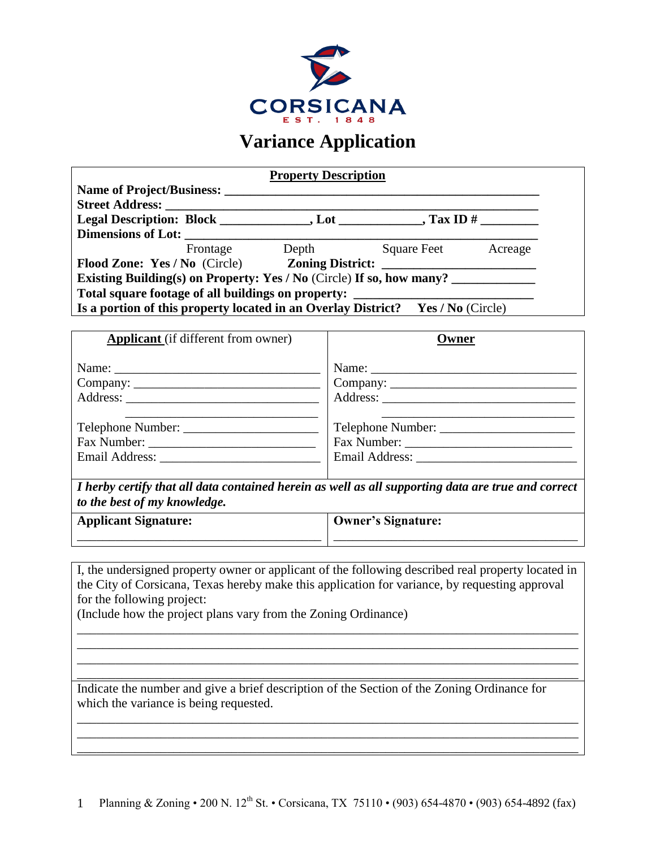

## **Variance Application**

|                                                                                 | <b>Property Description</b> |             |         |  |
|---------------------------------------------------------------------------------|-----------------------------|-------------|---------|--|
|                                                                                 |                             |             |         |  |
| <b>Street Address:</b>                                                          |                             |             |         |  |
|                                                                                 |                             |             |         |  |
|                                                                                 |                             |             |         |  |
|                                                                                 | Frontage Depth              | Square Feet | Acreage |  |
| Flood Zone: Yes / No (Circle) Zoning District:                                  |                             |             |         |  |
| Existing Building(s) on Property: Yes / No (Circle) If so, how many?            |                             |             |         |  |
| Total square footage of all buildings on property:                              |                             |             |         |  |
| Is a portion of this property located in an Overlay District? Yes / No (Circle) |                             |             |         |  |
|                                                                                 |                             |             |         |  |
| <b>Applicant</b> (if different from owner)                                      |                             | Owner       |         |  |
| Name:                                                                           | Name:                       |             |         |  |

| Company: | $\sim$ Company: |
|----------|-----------------|
|          |                 |
|          |                 |
|          |                 |
|          |                 |
|          |                 |
|          |                 |

*I herby certify that all data contained herein as well as all supporting data are true and correct to the best of my knowledge.* 

**Applicant Signature:**  \_\_\_\_\_\_\_\_\_\_\_\_\_\_\_\_\_\_\_\_\_\_\_\_\_\_\_\_\_\_\_\_\_\_\_\_\_\_ **Owner's Signature:** \_\_\_\_\_\_\_\_\_\_\_\_\_\_\_\_\_\_\_\_\_\_\_\_\_\_\_\_\_\_\_\_\_\_\_\_\_\_

I, the undersigned property owner or applicant of the following described real property located in the City of Corsicana, Texas hereby make this application for variance, by requesting approval for the following project:

\_\_\_\_\_\_\_\_\_\_\_\_\_\_\_\_\_\_\_\_\_\_\_\_\_\_\_\_\_\_\_\_\_\_\_\_\_\_\_\_\_\_\_\_\_\_\_\_\_\_\_\_\_\_\_\_\_\_\_\_\_\_\_\_\_\_\_\_\_\_\_\_\_\_\_\_\_\_ \_\_\_\_\_\_\_\_\_\_\_\_\_\_\_\_\_\_\_\_\_\_\_\_\_\_\_\_\_\_\_\_\_\_\_\_\_\_\_\_\_\_\_\_\_\_\_\_\_\_\_\_\_\_\_\_\_\_\_\_\_\_\_\_\_\_\_\_\_\_\_\_\_\_\_\_\_\_ \_\_\_\_\_\_\_\_\_\_\_\_\_\_\_\_\_\_\_\_\_\_\_\_\_\_\_\_\_\_\_\_\_\_\_\_\_\_\_\_\_\_\_\_\_\_\_\_\_\_\_\_\_\_\_\_\_\_\_\_\_\_\_\_\_\_\_\_\_\_\_\_\_\_\_\_\_\_ \_\_\_\_\_\_\_\_\_\_\_\_\_\_\_\_\_\_\_\_\_\_\_\_\_\_\_\_\_\_\_\_\_\_\_\_\_\_\_\_\_\_\_\_\_\_\_\_\_\_\_\_\_\_\_\_\_\_\_\_\_\_\_\_\_\_\_\_\_\_\_\_\_\_\_\_\_\_

(Include how the project plans vary from the Zoning Ordinance)

Indicate the number and give a brief description of the Section of the Zoning Ordinance for which the variance is being requested.

\_\_\_\_\_\_\_\_\_\_\_\_\_\_\_\_\_\_\_\_\_\_\_\_\_\_\_\_\_\_\_\_\_\_\_\_\_\_\_\_\_\_\_\_\_\_\_\_\_\_\_\_\_\_\_\_\_\_\_\_\_\_\_\_\_\_\_\_\_\_\_\_\_\_\_\_\_\_ \_\_\_\_\_\_\_\_\_\_\_\_\_\_\_\_\_\_\_\_\_\_\_\_\_\_\_\_\_\_\_\_\_\_\_\_\_\_\_\_\_\_\_\_\_\_\_\_\_\_\_\_\_\_\_\_\_\_\_\_\_\_\_\_\_\_\_\_\_\_\_\_\_\_\_\_\_\_ \_\_\_\_\_\_\_\_\_\_\_\_\_\_\_\_\_\_\_\_\_\_\_\_\_\_\_\_\_\_\_\_\_\_\_\_\_\_\_\_\_\_\_\_\_\_\_\_\_\_\_\_\_\_\_\_\_\_\_\_\_\_\_\_\_\_\_\_\_\_\_\_\_\_\_\_\_\_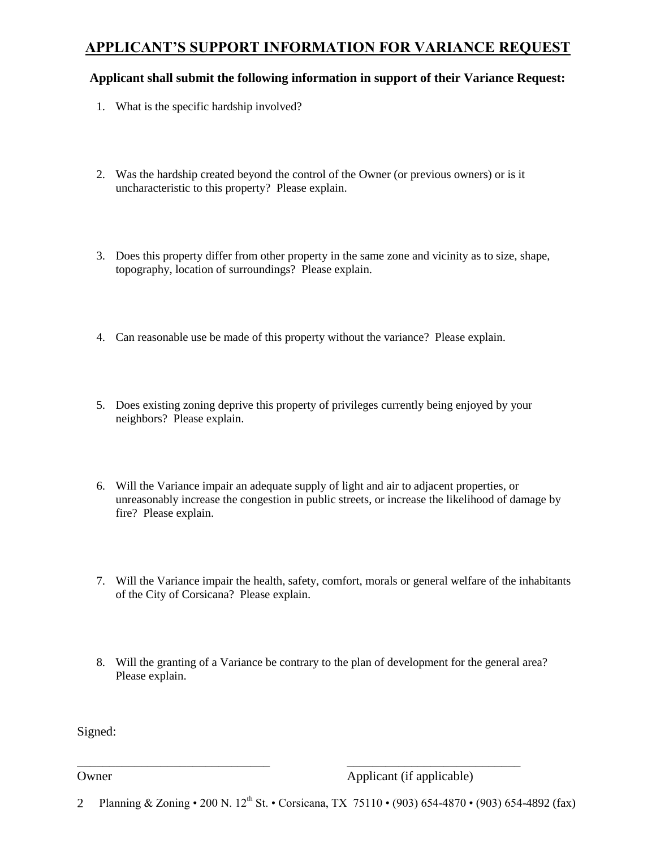### **APPLICANT'S SUPPORT INFORMATION FOR VARIANCE REQUEST**

#### **Applicant shall submit the following information in support of their Variance Request:**

- 1. What is the specific hardship involved?
- 2. Was the hardship created beyond the control of the Owner (or previous owners) or is it uncharacteristic to this property? Please explain.
- 3. Does this property differ from other property in the same zone and vicinity as to size, shape, topography, location of surroundings? Please explain.
- 4. Can reasonable use be made of this property without the variance? Please explain.
- 5. Does existing zoning deprive this property of privileges currently being enjoyed by your neighbors? Please explain.
- 6. Will the Variance impair an adequate supply of light and air to adjacent properties, or unreasonably increase the congestion in public streets, or increase the likelihood of damage by fire? Please explain.
- 7. Will the Variance impair the health, safety, comfort, morals or general welfare of the inhabitants of the City of Corsicana? Please explain.
- 8. Will the granting of a Variance be contrary to the plan of development for the general area? Please explain.

Signed:

Owner Applicant (if applicable)

2 Planning & Zoning • 200 N. 12<sup>th</sup> St. • Corsicana, TX 75110 • (903) 654-4870 • (903) 654-4892 (fax)

\_\_\_\_\_\_\_\_\_\_\_\_\_\_\_\_\_\_\_\_\_\_\_\_\_\_\_\_\_\_ \_\_\_\_\_\_\_\_\_\_\_\_\_\_\_\_\_\_\_\_\_\_\_\_\_\_\_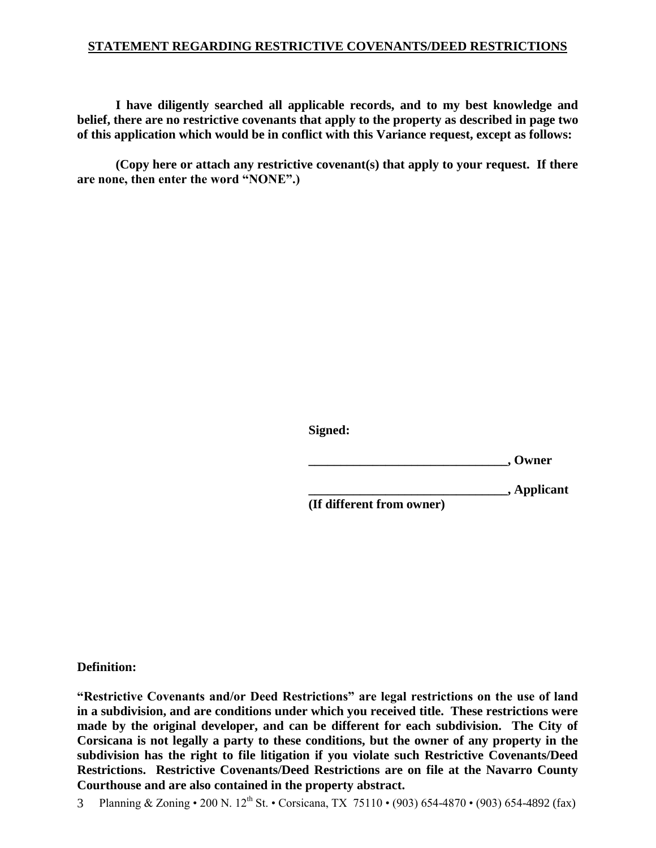#### **STATEMENT REGARDING RESTRICTIVE COVENANTS/DEED RESTRICTIONS**

**I have diligently searched all applicable records, and to my best knowledge and belief, there are no restrictive covenants that apply to the property as described in page two of this application which would be in conflict with this Variance request, except as follows:** 

**(Copy here or attach any restrictive covenant(s) that apply to your request. If there are none, then enter the word "NONE".)**

**Signed:**

**\_\_\_\_\_\_\_\_\_\_\_\_\_\_\_\_\_\_\_\_\_\_\_\_\_\_\_\_\_\_\_, Owner**

**\_\_\_\_\_\_\_\_\_\_\_\_\_\_\_\_\_\_\_\_\_\_\_\_\_\_\_\_\_\_\_, Applicant**

**(If different from owner)**

**Definition:**

**"Restrictive Covenants and/or Deed Restrictions" are legal restrictions on the use of land in a subdivision, and are conditions under which you received title. These restrictions were made by the original developer, and can be different for each subdivision. The City of Corsicana is not legally a party to these conditions, but the owner of any property in the subdivision has the right to file litigation if you violate such Restrictive Covenants/Deed Restrictions. Restrictive Covenants/Deed Restrictions are on file at the Navarro County Courthouse and are also contained in the property abstract.** 

3 Planning & Zoning • 200 N. 12<sup>th</sup> St. • Corsicana, TX 75110 • (903) 654-4870 • (903) 654-4892 (fax)